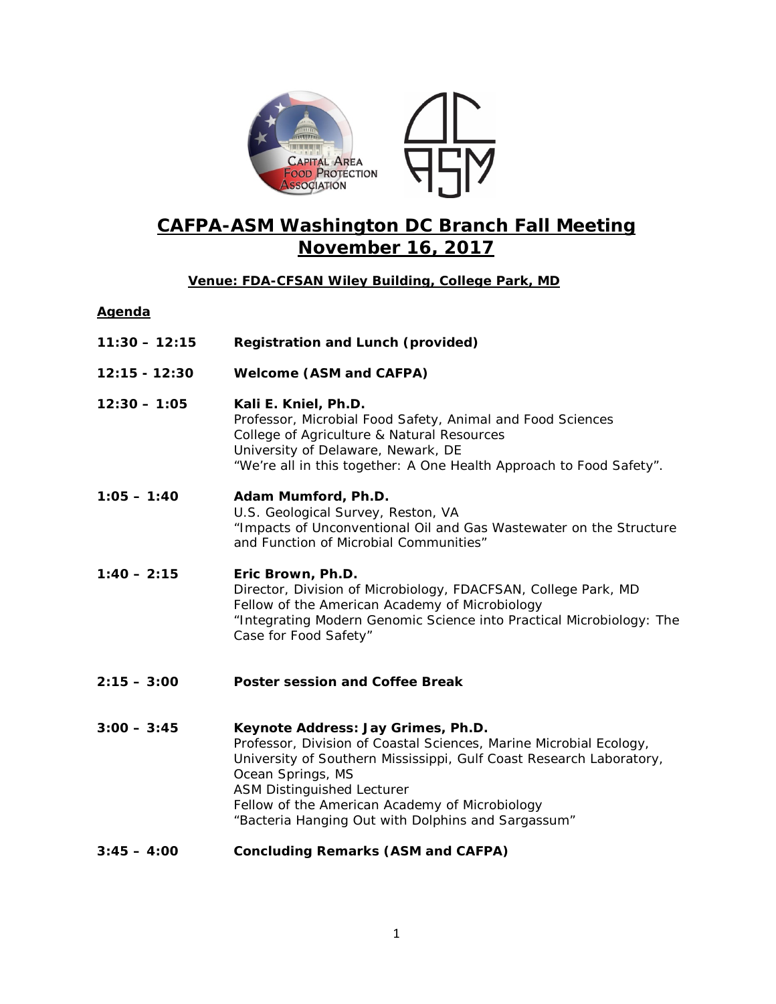

# **CAFPA-ASM Washington DC Branch Fall Meeting November 16, 2017**

# **Venue: FDA-CFSAN Wiley Building, College Park, MD**

## **Agenda**

- **11:30 – 12:15 Registration and Lunch (provided)**
- **12:15 - 12:30 Welcome (ASM and CAFPA)**
- **12:30 – 1:05 Kali E. Kniel, Ph.D.** Professor, Microbial Food Safety, Animal and Food Sciences College of Agriculture & Natural Resources University of Delaware, Newark, DE "We're all in this together: A One Health Approach to Food Safety".
- **1:05 – 1:40 Adam Mumford, Ph.D.** U.S. Geological Survey, Reston, VA "Impacts of Unconventional Oil and Gas Wastewater on the Structure and Function of Microbial Communities"
- **1:40 – 2:15 Eric Brown, Ph.D.** Director, Division of Microbiology, FDACFSAN, College Park, MD Fellow of the American Academy of Microbiology "Integrating Modern Genomic Science into Practical Microbiology: The Case for Food Safety"
- **2:15 – 3:00 Poster session and Coffee Break**

**3:00 – 3:45** *Keynote Address:* **Jay Grimes, Ph.D.** Professor, Division of Coastal Sciences, Marine Microbial Ecology, University of Southern Mississippi, Gulf Coast Research Laboratory, Ocean Springs, MS ASM Distinguished Lecturer Fellow of the American Academy of Microbiology "Bacteria Hanging Out with Dolphins and Sargassum"

**3:45 – 4:00 Concluding Remarks (ASM and CAFPA)**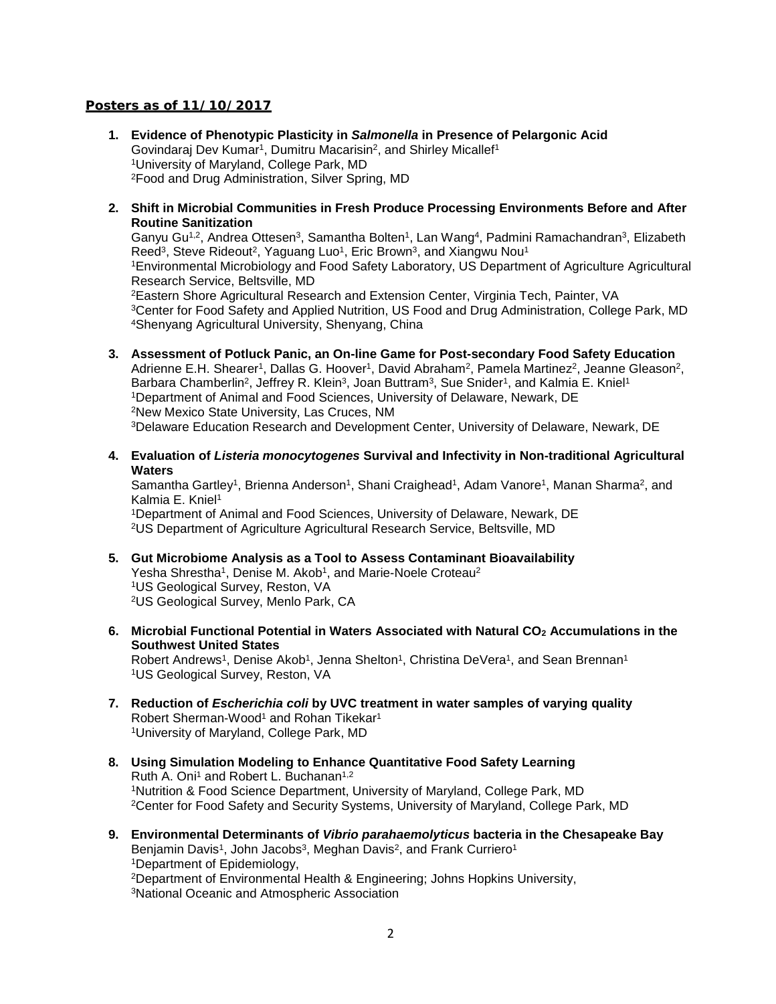### **Posters as of 11/10/2017**

- **1. Evidence of Phenotypic Plasticity in** *Salmonella* **in Presence of Pelargonic Acid** Govindaraj Dev Kumar<sup>1</sup>, Dumitru Macarisin<sup>2</sup>, and Shirley Micallef<sup>1</sup> 1University of Maryland, College Park, MD 2Food and Drug Administration, Silver Spring, MD
- **2. Shift in Microbial Communities in Fresh Produce Processing Environments Before and After Routine Sanitization**

Ganyu Gu<sup>1,2</sup>, Andrea Ottesen<sup>3</sup>, Samantha Bolten<sup>1</sup>, Lan Wang<sup>4</sup>, Padmini Ramachandran<sup>3</sup>, Elizabeth Reed<sup>3</sup>, Steve Rideout<sup>2</sup>, Yaguang Luo<sup>1</sup>, Eric Brown<sup>3</sup>, and Xiangwu Nou<sup>1</sup> 1Environmental Microbiology and Food Safety Laboratory, US Department of Agriculture Agricultural Research Service, Beltsville, MD 2Eastern Shore Agricultural Research and Extension Center, Virginia Tech, Painter, VA 3Center for Food Safety and Applied Nutrition, US Food and Drug Administration, College Park, MD 4Shenyang Agricultural University, Shenyang, China

- **3. Assessment of Potluck Panic, an On-line Game for Post-secondary Food Safety Education** Adrienne E.H. Shearer<sup>1</sup>, Dallas G. Hoover<sup>1</sup>, David Abraham<sup>2</sup>, Pamela Martinez<sup>2</sup>, Jeanne Gleason<sup>2</sup>, Barbara Chamberlin<sup>2</sup>, Jeffrey R. Klein<sup>3</sup>, Joan Buttram<sup>3</sup>, Sue Snider<sup>1</sup>, and Kalmia E. Kniel<sup>1</sup> 1Department of Animal and Food Sciences, University of Delaware, Newark, DE 2New Mexico State University, Las Cruces, NM 3Delaware Education Research and Development Center, University of Delaware, Newark, DE
- **4. Evaluation of** *Listeria monocytogenes* **Survival and Infectivity in Non-traditional Agricultural Waters**

Samantha Gartley<sup>1</sup>, Brienna Anderson<sup>1</sup>, Shani Craighead<sup>1</sup>, Adam Vanore<sup>1</sup>, Manan Sharma<sup>2</sup>, and Kalmia E. Kniel1

1Department of Animal and Food Sciences, University of Delaware, Newark, DE 2US Department of Agriculture Agricultural Research Service, Beltsville, MD

- **5. Gut Microbiome Analysis as a Tool to Assess Contaminant Bioavailability** Yesha Shrestha<sup>1</sup>, Denise M. Akob<sup>1</sup>, and Marie-Noele Croteau<sup>2</sup> 1US Geological Survey, Reston, VA 2US Geological Survey, Menlo Park, CA
- **6. Microbial Functional Potential in Waters Associated with Natural CO2 Accumulations in the Southwest United States** Robert Andrews<sup>1</sup>, Denise Akob<sup>1</sup>, Jenna Shelton<sup>1</sup>, Christina DeVera<sup>1</sup>, and Sean Brennan<sup>1</sup>

1US Geological Survey, Reston, VA

- **7. Reduction of** *Escherichia coli* **by UVC treatment in water samples of varying quality** Robert Sherman-Wood<sup>1</sup> and Rohan Tikekar<sup>1</sup> 1University of Maryland, College Park, MD
- **8. Using Simulation Modeling to Enhance Quantitative Food Safety Learning** Ruth A. Oni<sup>1</sup> and Robert L. Buchanan<sup>1,2</sup> 1Nutrition & Food Science Department, University of Maryland, College Park, MD 2Center for Food Safety and Security Systems, University of Maryland, College Park, MD
- **9. Environmental Determinants of** *Vibrio parahaemolyticus* **bacteria in the Chesapeake Bay** Benjamin Davis<sup>1</sup>, John Jacobs<sup>3</sup>, Meghan Davis<sup>2</sup>, and Frank Curriero<sup>1</sup> 1Department of Epidemiology, <sup>2</sup>Department of Environmental Health & Engineering; Johns Hopkins University, 3National Oceanic and Atmospheric Association